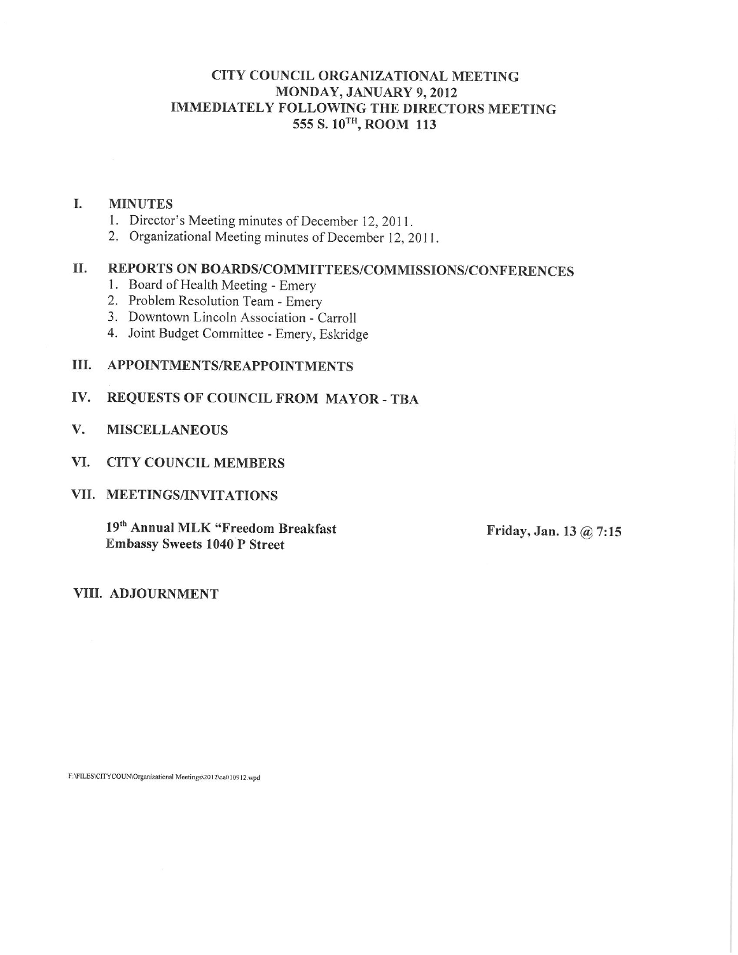### CITY COUNCIL ORGANIZATIONAL MEETING MONDAY, JANUARY 9, 2012 **IMMEDIATELY FOLLOWING THE DIRECTORS MEETING** 555 S. 10TH, ROOM 113

#### $\mathbf{I}$ . **MINUTES**

- 1. Director's Meeting minutes of December 12, 2011.
- 2. Organizational Meeting minutes of December 12, 2011.

#### **II.** REPORTS ON BOARDS/COMMITTEES/COMMISSIONS/CONFERENCES

- 1. Board of Health Meeting Emery
- 2. Problem Resolution Team Emery
- 3. Downtown Lincoln Association Carroll
- 4. Joint Budget Committee Emery, Eskridge

#### III. APPOINTMENTS/REAPPOINTMENTS

#### REQUESTS OF COUNCIL FROM MAYOR - TBA IV.

- V. **MISCELLANEOUS**
- VI. CITY COUNCIL MEMBERS

#### VII. MEETINGS/INVITATIONS

19th Annual MLK "Freedom Breakfast **Embassy Sweets 1040 P Street** 

Friday, Jan. 13 @ 7:15

VIII. ADJOURNMENT

F:\FILES\CITYCOUN\Organizational Meetings\2012\ca010912.wpd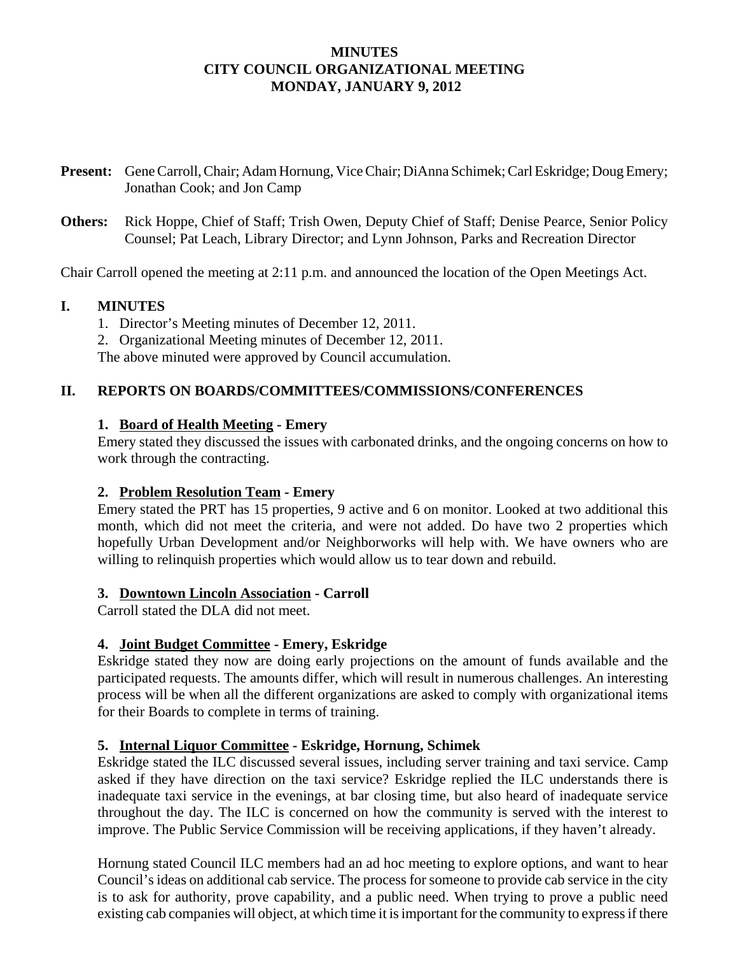# **MINUTES CITY COUNCIL ORGANIZATIONAL MEETING MONDAY, JANUARY 9, 2012**

- **Present:** Gene Carroll, Chair; Adam Hornung, Vice Chair; DiAnna Schimek; Carl Eskridge; Doug Emery; Jonathan Cook; and Jon Camp
- **Others:** Rick Hoppe, Chief of Staff; Trish Owen, Deputy Chief of Staff; Denise Pearce, Senior Policy Counsel; Pat Leach, Library Director; and Lynn Johnson, Parks and Recreation Director

Chair Carroll opened the meeting at 2:11 p.m. and announced the location of the Open Meetings Act.

## **I. MINUTES**

- 1. Director's Meeting minutes of December 12, 2011.
- 2. Organizational Meeting minutes of December 12, 2011.

The above minuted were approved by Council accumulation.

# **II. REPORTS ON BOARDS/COMMITTEES/COMMISSIONS/CONFERENCES**

## **1. Board of Health Meeting - Emery**

Emery stated they discussed the issues with carbonated drinks, and the ongoing concerns on how to work through the contracting.

### **2. Problem Resolution Team - Emery**

Emery stated the PRT has 15 properties, 9 active and 6 on monitor. Looked at two additional this month, which did not meet the criteria, and were not added. Do have two 2 properties which hopefully Urban Development and/or Neighborworks will help with. We have owners who are willing to relinquish properties which would allow us to tear down and rebuild.

### **3. Downtown Lincoln Association - Carroll**

Carroll stated the DLA did not meet.

# **4. Joint Budget Committee - Emery, Eskridge**

Eskridge stated they now are doing early projections on the amount of funds available and the participated requests. The amounts differ, which will result in numerous challenges. An interesting process will be when all the different organizations are asked to comply with organizational items for their Boards to complete in terms of training.

# **5. Internal Liquor Committee - Eskridge, Hornung, Schimek**

Eskridge stated the ILC discussed several issues, including server training and taxi service. Camp asked if they have direction on the taxi service? Eskridge replied the ILC understands there is inadequate taxi service in the evenings, at bar closing time, but also heard of inadequate service throughout the day. The ILC is concerned on how the community is served with the interest to improve. The Public Service Commission will be receiving applications, if they haven't already.

Hornung stated Council ILC members had an ad hoc meeting to explore options, and want to hear Council's ideas on additional cab service. The process for someone to provide cab service in the city is to ask for authority, prove capability, and a public need. When trying to prove a public need existing cab companies will object, at which time it is important for the community to express if there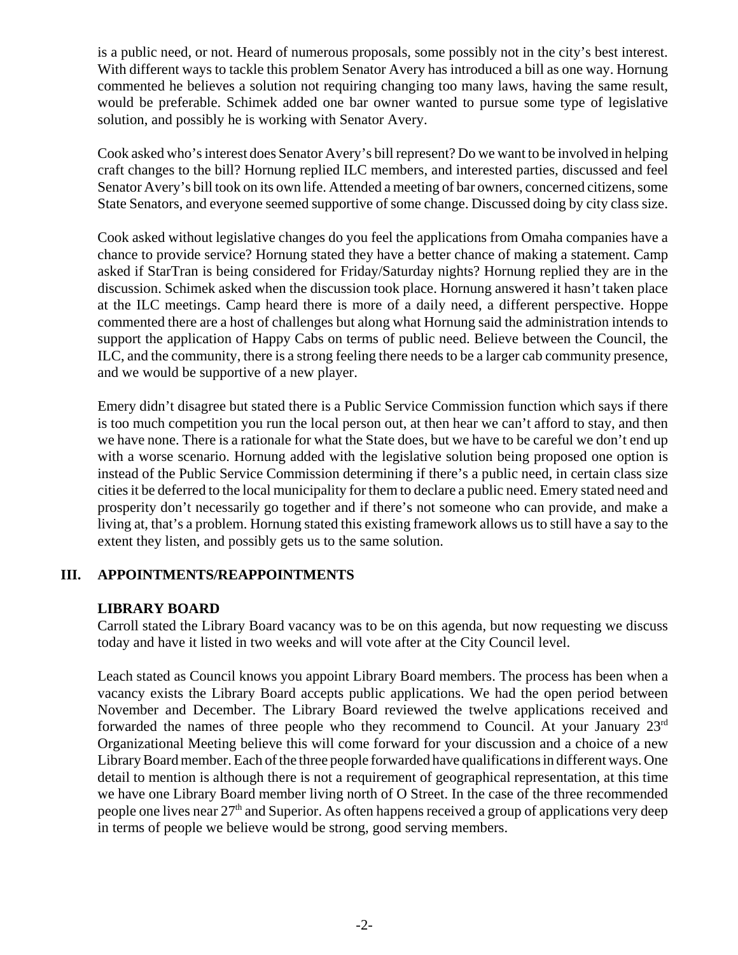is a public need, or not. Heard of numerous proposals, some possibly not in the city's best interest. With different ways to tackle this problem Senator Avery has introduced a bill as one way. Hornung commented he believes a solution not requiring changing too many laws, having the same result, would be preferable. Schimek added one bar owner wanted to pursue some type of legislative solution, and possibly he is working with Senator Avery.

Cook asked who's interest does Senator Avery's bill represent? Do we want to be involved in helping craft changes to the bill? Hornung replied ILC members, and interested parties, discussed and feel Senator Avery's bill took on its own life. Attended a meeting of bar owners, concerned citizens, some State Senators, and everyone seemed supportive of some change. Discussed doing by city class size.

Cook asked without legislative changes do you feel the applications from Omaha companies have a chance to provide service? Hornung stated they have a better chance of making a statement. Camp asked if StarTran is being considered for Friday/Saturday nights? Hornung replied they are in the discussion. Schimek asked when the discussion took place. Hornung answered it hasn't taken place at the ILC meetings. Camp heard there is more of a daily need, a different perspective. Hoppe commented there are a host of challenges but along what Hornung said the administration intends to support the application of Happy Cabs on terms of public need. Believe between the Council, the ILC, and the community, there is a strong feeling there needs to be a larger cab community presence, and we would be supportive of a new player.

Emery didn't disagree but stated there is a Public Service Commission function which says if there is too much competition you run the local person out, at then hear we can't afford to stay, and then we have none. There is a rationale for what the State does, but we have to be careful we don't end up with a worse scenario. Hornung added with the legislative solution being proposed one option is instead of the Public Service Commission determining if there's a public need, in certain class size cities it be deferred to the local municipality for them to declare a public need. Emery stated need and prosperity don't necessarily go together and if there's not someone who can provide, and make a living at, that's a problem. Hornung stated this existing framework allows us to still have a say to the extent they listen, and possibly gets us to the same solution.

# **III. APPOINTMENTS/REAPPOINTMENTS**

### **LIBRARY BOARD**

Carroll stated the Library Board vacancy was to be on this agenda, but now requesting we discuss today and have it listed in two weeks and will vote after at the City Council level.

Leach stated as Council knows you appoint Library Board members. The process has been when a vacancy exists the Library Board accepts public applications. We had the open period between November and December. The Library Board reviewed the twelve applications received and forwarded the names of three people who they recommend to Council. At your January  $23<sup>rd</sup>$ Organizational Meeting believe this will come forward for your discussion and a choice of a new Library Board member. Each of the three people forwarded have qualifications in different ways. One detail to mention is although there is not a requirement of geographical representation, at this time we have one Library Board member living north of O Street. In the case of the three recommended people one lives near 27<sup>th</sup> and Superior. As often happens received a group of applications very deep in terms of people we believe would be strong, good serving members.